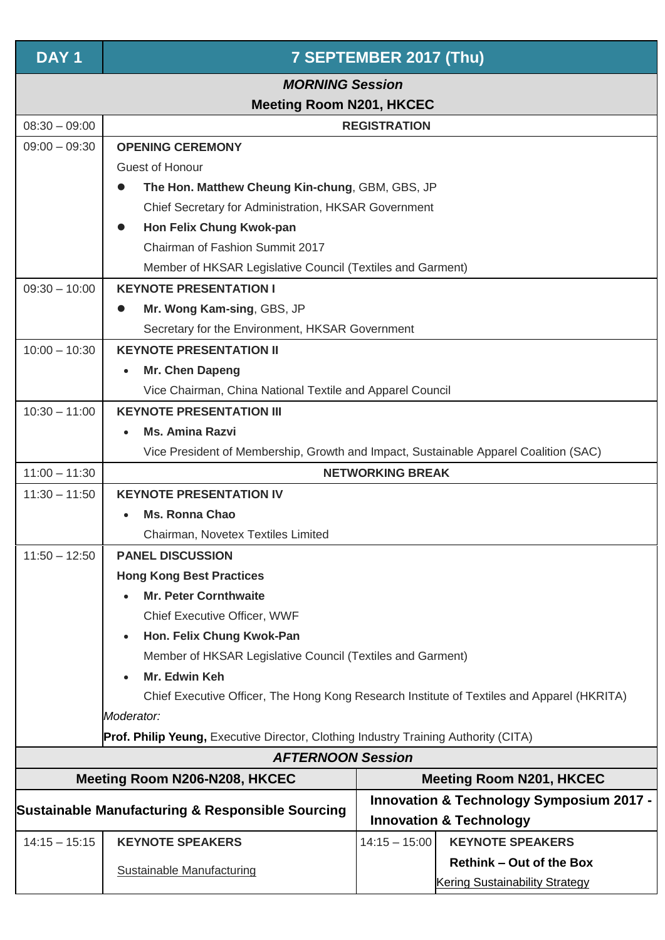| DAY <sub>1</sub>                                                                    | 7 SEPTEMBER 2017 (Thu)                                                                     |                                                     |                                       |  |  |
|-------------------------------------------------------------------------------------|--------------------------------------------------------------------------------------------|-----------------------------------------------------|---------------------------------------|--|--|
| <b>MORNING Session</b>                                                              |                                                                                            |                                                     |                                       |  |  |
| $08:30 - 09:00$                                                                     | <b>Meeting Room N201, HKCEC</b>                                                            |                                                     |                                       |  |  |
| $09:00 - 09:30$                                                                     | <b>REGISTRATION</b>                                                                        |                                                     |                                       |  |  |
|                                                                                     | <b>OPENING CEREMONY</b>                                                                    |                                                     |                                       |  |  |
|                                                                                     | Guest of Honour                                                                            |                                                     |                                       |  |  |
|                                                                                     | The Hon. Matthew Cheung Kin-chung, GBM, GBS, JP<br>$\bullet$                               |                                                     |                                       |  |  |
|                                                                                     | Chief Secretary for Administration, HKSAR Government                                       |                                                     |                                       |  |  |
|                                                                                     | Hon Felix Chung Kwok-pan                                                                   |                                                     |                                       |  |  |
|                                                                                     | Chairman of Fashion Summit 2017                                                            |                                                     |                                       |  |  |
|                                                                                     | Member of HKSAR Legislative Council (Textiles and Garment)                                 |                                                     |                                       |  |  |
| $09:30 - 10:00$                                                                     | <b>KEYNOTE PRESENTATION I</b>                                                              |                                                     |                                       |  |  |
|                                                                                     | Mr. Wong Kam-sing, GBS, JP                                                                 |                                                     |                                       |  |  |
|                                                                                     | Secretary for the Environment, HKSAR Government                                            |                                                     |                                       |  |  |
| $10:00 - 10:30$                                                                     | <b>KEYNOTE PRESENTATION II</b>                                                             |                                                     |                                       |  |  |
|                                                                                     | Mr. Chen Dapeng                                                                            |                                                     |                                       |  |  |
|                                                                                     | Vice Chairman, China National Textile and Apparel Council                                  |                                                     |                                       |  |  |
| $10:30 - 11:00$                                                                     | <b>KEYNOTE PRESENTATION III</b>                                                            |                                                     |                                       |  |  |
|                                                                                     | <b>Ms. Amina Razvi</b>                                                                     |                                                     |                                       |  |  |
|                                                                                     | Vice President of Membership, Growth and Impact, Sustainable Apparel Coalition (SAC)       |                                                     |                                       |  |  |
| $11:00 - 11:30$                                                                     | <b>NETWORKING BREAK</b>                                                                    |                                                     |                                       |  |  |
| $11:30 - 11:50$                                                                     | <b>KEYNOTE PRESENTATION IV</b>                                                             |                                                     |                                       |  |  |
|                                                                                     | <b>Ms. Ronna Chao</b>                                                                      |                                                     |                                       |  |  |
|                                                                                     | Chairman, Novetex Textiles Limited                                                         |                                                     |                                       |  |  |
| $11:50 - 12:50$                                                                     | <b>PANEL DISCUSSION</b>                                                                    |                                                     |                                       |  |  |
|                                                                                     | <b>Hong Kong Best Practices</b>                                                            |                                                     |                                       |  |  |
|                                                                                     | <b>Mr. Peter Cornthwaite</b>                                                               |                                                     |                                       |  |  |
|                                                                                     | Chief Executive Officer, WWF                                                               |                                                     |                                       |  |  |
|                                                                                     | Hon. Felix Chung Kwok-Pan                                                                  |                                                     |                                       |  |  |
|                                                                                     | Member of HKSAR Legislative Council (Textiles and Garment)                                 |                                                     |                                       |  |  |
|                                                                                     | Mr. Edwin Keh                                                                              |                                                     |                                       |  |  |
|                                                                                     | Chief Executive Officer, The Hong Kong Research Institute of Textiles and Apparel (HKRITA) |                                                     |                                       |  |  |
|                                                                                     | Moderator:                                                                                 |                                                     |                                       |  |  |
| Prof. Philip Yeung, Executive Director, Clothing Industry Training Authority (CITA) |                                                                                            |                                                     |                                       |  |  |
| <b>AFTERNOON Session</b>                                                            |                                                                                            |                                                     |                                       |  |  |
| Meeting Room N206-N208, HKCEC<br><b>Meeting Room N201, HKCEC</b>                    |                                                                                            |                                                     |                                       |  |  |
|                                                                                     |                                                                                            | <b>Innovation &amp; Technology Symposium 2017 -</b> |                                       |  |  |
|                                                                                     | Sustainable Manufacturing & Responsible Sourcing                                           |                                                     | <b>Innovation &amp; Technology</b>    |  |  |
| $14:15 - 15:15$                                                                     | <b>KEYNOTE SPEAKERS</b>                                                                    | $14:15 - 15:00$                                     | <b>KEYNOTE SPEAKERS</b>               |  |  |
|                                                                                     |                                                                                            |                                                     | <b>Rethink - Out of the Box</b>       |  |  |
|                                                                                     | <b>Sustainable Manufacturing</b>                                                           |                                                     | <b>Kering Sustainability Strategy</b> |  |  |